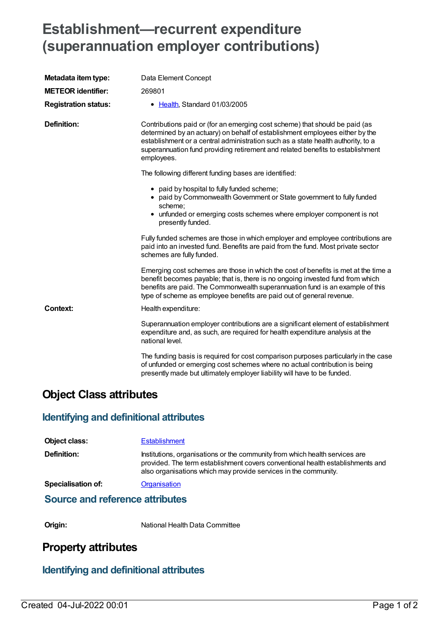# **Establishment—recurrent expenditure (superannuation employer contributions)**

| Metadata item type:         | Data Element Concept                                                                                                                                                                                                                                                                                                                            |
|-----------------------------|-------------------------------------------------------------------------------------------------------------------------------------------------------------------------------------------------------------------------------------------------------------------------------------------------------------------------------------------------|
| <b>METEOR identifier:</b>   | 269801                                                                                                                                                                                                                                                                                                                                          |
| <b>Registration status:</b> | • Health, Standard 01/03/2005                                                                                                                                                                                                                                                                                                                   |
| <b>Definition:</b>          | Contributions paid or (for an emerging cost scheme) that should be paid (as<br>determined by an actuary) on behalf of establishment employees either by the<br>establishment or a central administration such as a state health authority, to a<br>superannuation fund providing retirement and related benefits to establishment<br>employees. |
|                             | The following different funding bases are identified:                                                                                                                                                                                                                                                                                           |
|                             | • paid by hospital to fully funded scheme;<br>• paid by Commonwealth Government or State government to fully funded<br>scheme:<br>unfunded or emerging costs schemes where employer component is not<br>٠<br>presently funded.                                                                                                                  |
|                             | Fully funded schemes are those in which employer and employee contributions are<br>paid into an invested fund. Benefits are paid from the fund. Most private sector<br>schemes are fully funded.                                                                                                                                                |
|                             | Emerging cost schemes are those in which the cost of benefits is met at the time a<br>benefit becomes payable; that is, there is no ongoing invested fund from which<br>benefits are paid. The Commonwealth superannuation fund is an example of this<br>type of scheme as employee benefits are paid out of general revenue.                   |
| <b>Context:</b>             | Health expenditure:                                                                                                                                                                                                                                                                                                                             |
|                             | Superannuation employer contributions are a significant element of establishment<br>expenditure and, as such, are required for health expenditure analysis at the<br>national level.                                                                                                                                                            |
|                             | The funding basis is required for cost comparison purposes particularly in the case<br>of unfunded or emerging cost schemes where no actual contribution is being<br>presently made but ultimately employer liability will have to be funded.                                                                                                   |

## **Object Class attributes**

#### **Identifying and definitional attributes**

| <b>Object class:</b>                   | <b>Establishment</b>                                                                                                                                                                                                             |  |
|----------------------------------------|----------------------------------------------------------------------------------------------------------------------------------------------------------------------------------------------------------------------------------|--|
| Definition:                            | Institutions, organisations or the community from which health services are<br>provided. The term establishment covers conventional health establishments and<br>also organisations which may provide services in the community. |  |
| <b>Specialisation of:</b>              | <b>Organisation</b>                                                                                                                                                                                                              |  |
| Oranger and matematics of the location |                                                                                                                                                                                                                                  |  |

#### **Source and reference attributes**

**Origin:** National Health Data Committee

## **Property attributes**

#### **Identifying and definitional attributes**